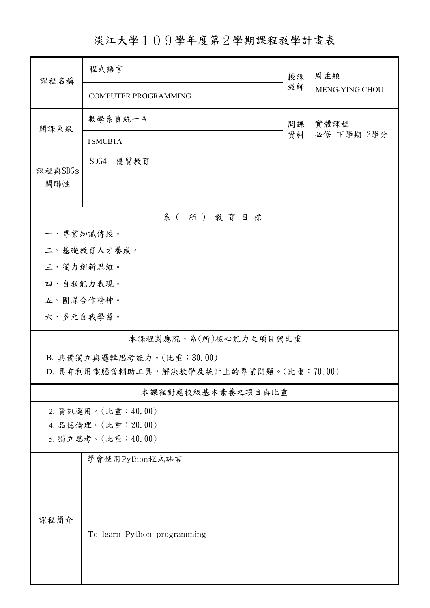## 淡江大學109學年度第2學期課程教學計畫表

| 課程名稱                      | 程式語言                                    | 授課<br>教師 | 周孟穎                   |  |  |  |  |
|---------------------------|-----------------------------------------|----------|-----------------------|--|--|--|--|
|                           | <b>COMPUTER PROGRAMMING</b>             |          | <b>MENG-YING CHOU</b> |  |  |  |  |
| 開課系級                      | 數學系資統一A                                 | 開課<br>資料 | 實體課程                  |  |  |  |  |
|                           | TSMCB1A                                 |          | 必修 下學期 2學分            |  |  |  |  |
|                           | SDG4 優質教育                               |          |                       |  |  |  |  |
| 課程與SDGs<br>關聯性            |                                         |          |                       |  |  |  |  |
|                           |                                         |          |                       |  |  |  |  |
| 系(所)教育目標                  |                                         |          |                       |  |  |  |  |
| 一、專業知識傳授。                 |                                         |          |                       |  |  |  |  |
| 二、基礎教育人才養成。               |                                         |          |                       |  |  |  |  |
| 三、獨力創新思維。                 |                                         |          |                       |  |  |  |  |
| 四、自我能力表現。                 |                                         |          |                       |  |  |  |  |
| 五、團隊合作精神。                 |                                         |          |                       |  |  |  |  |
| 六、多元自我學習。                 |                                         |          |                       |  |  |  |  |
|                           | 本課程對應院、系(所)核心能力之項目與比重                   |          |                       |  |  |  |  |
| B. 具備獨立與邏輯思考能力。(比重:30.00) |                                         |          |                       |  |  |  |  |
|                           | D. 具有利用電腦當輔助工具,解決數學及統計上的專業問題。(比重:70.00) |          |                       |  |  |  |  |
|                           | 本課程對應校級基本素養之項目與比重                       |          |                       |  |  |  |  |
|                           | 2. 資訊運用。(比重:40.00)                      |          |                       |  |  |  |  |
|                           | 4. 品德倫理。(比重: 20.00)                     |          |                       |  |  |  |  |
| 5. 獨立思考。(比重:40.00)        |                                         |          |                       |  |  |  |  |
|                           | 學會使用Python程式語言                          |          |                       |  |  |  |  |
|                           |                                         |          |                       |  |  |  |  |
|                           |                                         |          |                       |  |  |  |  |
| 課程簡介                      |                                         |          |                       |  |  |  |  |
|                           | To learn Python programming             |          |                       |  |  |  |  |
|                           |                                         |          |                       |  |  |  |  |
|                           |                                         |          |                       |  |  |  |  |
|                           |                                         |          |                       |  |  |  |  |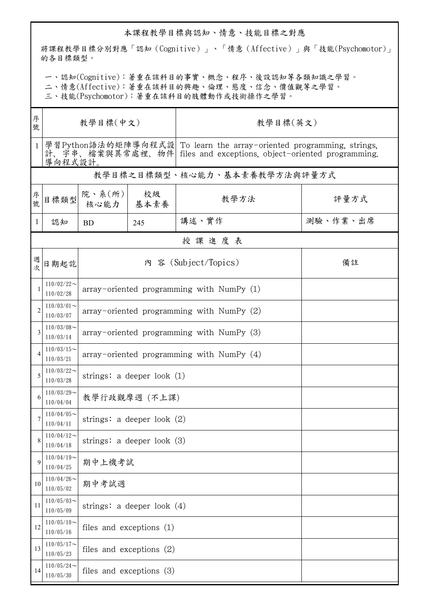## 本課程教學目標與認知、情意、技能目標之對應

將課程教學目標分別對應「認知(Cognitive)」、「情意(Affective)」與「技能(Psychomotor)」 的各目標類型。

一、認知(Cognitive):著重在該科目的事實、概念、程序、後設認知等各類知識之學習。

二、情意(Affective):著重在該科目的興趣、倫理、態度、信念、價值觀等之學習。

三、技能(Psychomotor):著重在該科目的肢體動作或技術操作之學習。

| 序<br>號         | 教學目標(中文)                     |                                             |     | 教學目標(英文)                                                                                                                                    |          |  |  |  |
|----------------|------------------------------|---------------------------------------------|-----|---------------------------------------------------------------------------------------------------------------------------------------------|----------|--|--|--|
| $\mathbf{1}$   | 導向程式設計。                      |                                             |     | 學習Python語法的矩陣導向程式設 To learn the array-oriented programming, strings,<br>計、字串、檔案與異常處裡、物件  files and exceptions, object-oriented programming. |          |  |  |  |
|                | 教學目標之目標類型、核心能力、基本素養教學方法與評量方式 |                                             |     |                                                                                                                                             |          |  |  |  |
| 序號             | 目標類型                         | 院、系 $(\text{m})$<br>核心能力   基本素養             | 校級  | 教學方法                                                                                                                                        | 評量方式     |  |  |  |
| 1              | 認知                           | <b>BD</b>                                   | 245 | 講述、實作                                                                                                                                       | 測驗、作業、出席 |  |  |  |
|                | 授課進度表                        |                                             |     |                                                                                                                                             |          |  |  |  |
| 週次             | 日期起訖                         | 內 容 (Subject/Topics)                        |     |                                                                                                                                             | 備註       |  |  |  |
| 1              | $110/02/22$ ~<br>110/02/28   | $array-oriented programming with NumPy (1)$ |     |                                                                                                                                             |          |  |  |  |
| $\overline{c}$ | $110/03/01$ ~<br>110/03/07   | $array-oriented programming with NumPy (2)$ |     |                                                                                                                                             |          |  |  |  |
| 3              | $110/03/08$ ~<br>110/03/14   | $array-oriented programming with NumPy(3)$  |     |                                                                                                                                             |          |  |  |  |
| 4              | $110/03/15$ ~<br>110/03/21   | array-oriented programming with NumPy $(4)$ |     |                                                                                                                                             |          |  |  |  |
| 5              | $110/03/22$ ~<br>110/03/28   | strings: a deeper look $(1)$                |     |                                                                                                                                             |          |  |  |  |
| 6              | $110/03/29$ ~<br>110/04/04   | 教學行政觀摩週 (不上課)                               |     |                                                                                                                                             |          |  |  |  |
| 7              | $110/04/05$ ~<br>110/04/11   | strings: a deeper look $(2)$                |     |                                                                                                                                             |          |  |  |  |
| 8              | $110/04/12$ ~<br>110/04/18   | strings: a deeper look (3)                  |     |                                                                                                                                             |          |  |  |  |
| 9              | $110/04/19$ ~<br>110/04/25   | 期中上機考試                                      |     |                                                                                                                                             |          |  |  |  |
| 10             | $110/04/26$ ~<br>110/05/02   | 期中考試週                                       |     |                                                                                                                                             |          |  |  |  |
| 11             | $110/05/03$ ~<br>110/05/09   | strings: a deeper look $(4)$                |     |                                                                                                                                             |          |  |  |  |
| 12             | $110/05/10$ ~<br>110/05/16   | files and exceptions $(1)$                  |     |                                                                                                                                             |          |  |  |  |
| 13             | $110/05/17$ ~<br>110/05/23   | files and exceptions (2)                    |     |                                                                                                                                             |          |  |  |  |
| 14             | $110/05/24$ ~<br>110/05/30   | files and exceptions (3)                    |     |                                                                                                                                             |          |  |  |  |